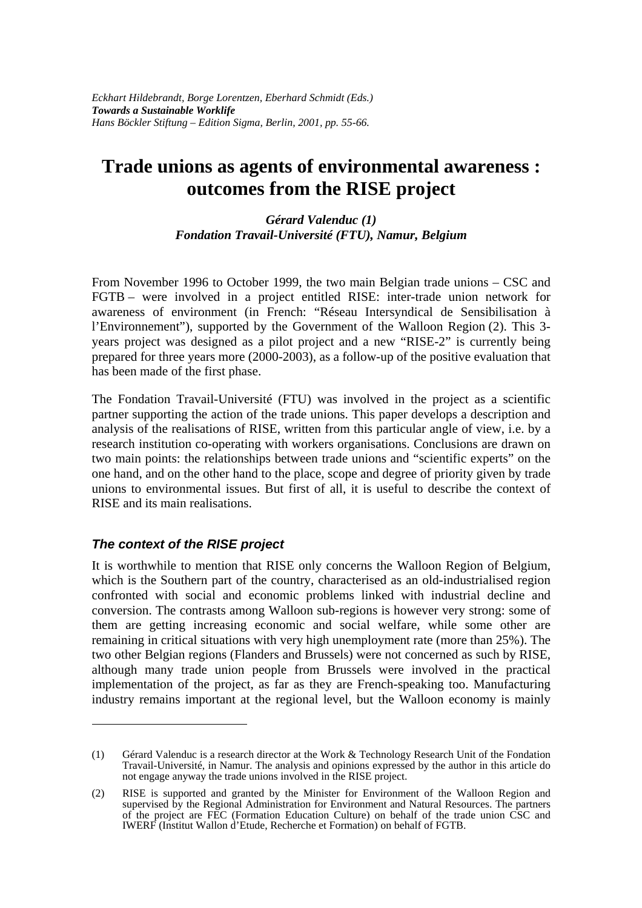# **Trade unions as agents of environmental awareness : outcomes from the RISE project**

#### *Gérard Valenduc (1) Fondation Travail-Université (FTU), Namur, Belgium*

From November 1996 to October 1999, the two main Belgian trade unions – CSC and FGTB – were involved in a project entitled RISE: inter-trade union network for awareness of environment (in French: "Réseau Intersyndical de Sensibilisation à l'Environnement"), supported by the Government of the Walloon Region (2). This 3 years project was designed as a pilot project and a new "RISE-2" is currently being prepared for three years more (2000-2003), as a follow-up of the positive evaluation that has been made of the first phase.

The Fondation Travail-Université (FTU) was involved in the project as a scientific partner supporting the action of the trade unions. This paper develops a description and analysis of the realisations of RISE, written from this particular angle of view, i.e. by a research institution co-operating with workers organisations. Conclusions are drawn on two main points: the relationships between trade unions and "scientific experts" on the one hand, and on the other hand to the place, scope and degree of priority given by trade unions to environmental issues. But first of all, it is useful to describe the context of RISE and its main realisations.

# *The context of the RISE project*

 $\overline{a}$ 

It is worthwhile to mention that RISE only concerns the Walloon Region of Belgium, which is the Southern part of the country, characterised as an old-industrialised region confronted with social and economic problems linked with industrial decline and conversion. The contrasts among Walloon sub-regions is however very strong: some of them are getting increasing economic and social welfare, while some other are remaining in critical situations with very high unemployment rate (more than 25%). The two other Belgian regions (Flanders and Brussels) were not concerned as such by RISE, although many trade union people from Brussels were involved in the practical implementation of the project, as far as they are French-speaking too. Manufacturing industry remains important at the regional level, but the Walloon economy is mainly

<sup>(1)</sup> Gérard Valenduc is a research director at the Work & Technology Research Unit of the Fondation Travail-Université, in Namur. The analysis and opinions expressed by the author in this article do not engage anyway the trade unions involved in the RISE project.

<sup>(2)</sup> RISE is supported and granted by the Minister for Environment of the Walloon Region and supervised by the Regional Administration for Environment and Natural Resources. The partners of the project are FEC (Formation Education Culture) on behalf of the trade union CSC and IWERF (Institut Wallon d'Etude, Recherche et Formation) on behalf of FGTB.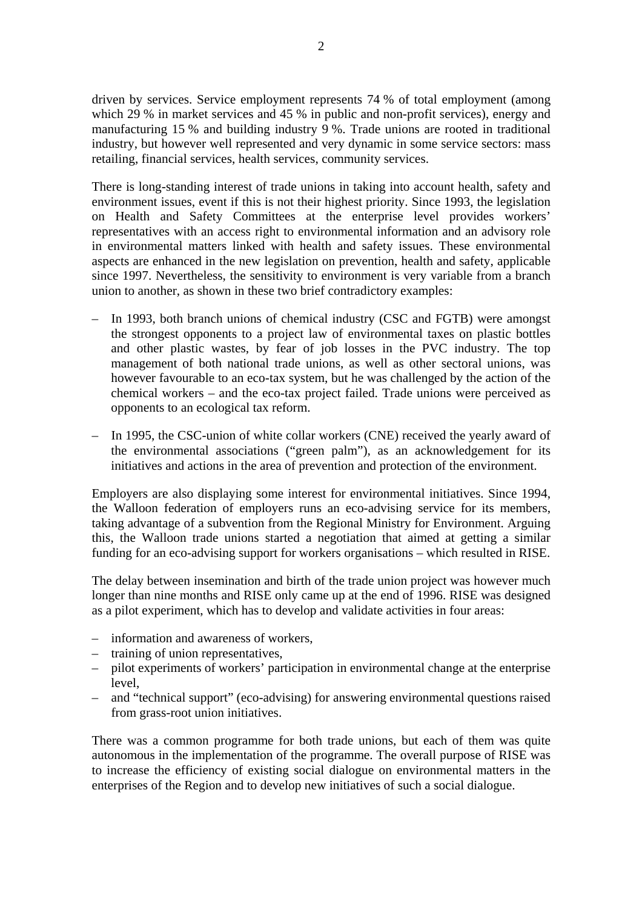driven by services. Service employment represents 74 % of total employment (among which 29 % in market services and 45 % in public and non-profit services), energy and manufacturing 15 % and building industry 9 %. Trade unions are rooted in traditional industry, but however well represented and very dynamic in some service sectors: mass retailing, financial services, health services, community services.

There is long-standing interest of trade unions in taking into account health, safety and environment issues, event if this is not their highest priority. Since 1993, the legislation on Health and Safety Committees at the enterprise level provides workers' representatives with an access right to environmental information and an advisory role in environmental matters linked with health and safety issues. These environmental aspects are enhanced in the new legislation on prevention, health and safety, applicable since 1997. Nevertheless, the sensitivity to environment is very variable from a branch union to another, as shown in these two brief contradictory examples:

- In 1993, both branch unions of chemical industry (CSC and FGTB) were amongst the strongest opponents to a project law of environmental taxes on plastic bottles and other plastic wastes, by fear of job losses in the PVC industry. The top management of both national trade unions, as well as other sectoral unions, was however favourable to an eco-tax system, but he was challenged by the action of the chemical workers – and the eco-tax project failed. Trade unions were perceived as opponents to an ecological tax reform.
- In 1995, the CSC-union of white collar workers (CNE) received the yearly award of the environmental associations ("green palm"), as an acknowledgement for its initiatives and actions in the area of prevention and protection of the environment.

Employers are also displaying some interest for environmental initiatives. Since 1994, the Walloon federation of employers runs an eco-advising service for its members, taking advantage of a subvention from the Regional Ministry for Environment. Arguing this, the Walloon trade unions started a negotiation that aimed at getting a similar funding for an eco-advising support for workers organisations – which resulted in RISE.

The delay between insemination and birth of the trade union project was however much longer than nine months and RISE only came up at the end of 1996. RISE was designed as a pilot experiment, which has to develop and validate activities in four areas:

- information and awareness of workers,
- training of union representatives,
- pilot experiments of workers' participation in environmental change at the enterprise level,
- and "technical support" (eco-advising) for answering environmental questions raised from grass-root union initiatives.

There was a common programme for both trade unions, but each of them was quite autonomous in the implementation of the programme. The overall purpose of RISE was to increase the efficiency of existing social dialogue on environmental matters in the enterprises of the Region and to develop new initiatives of such a social dialogue.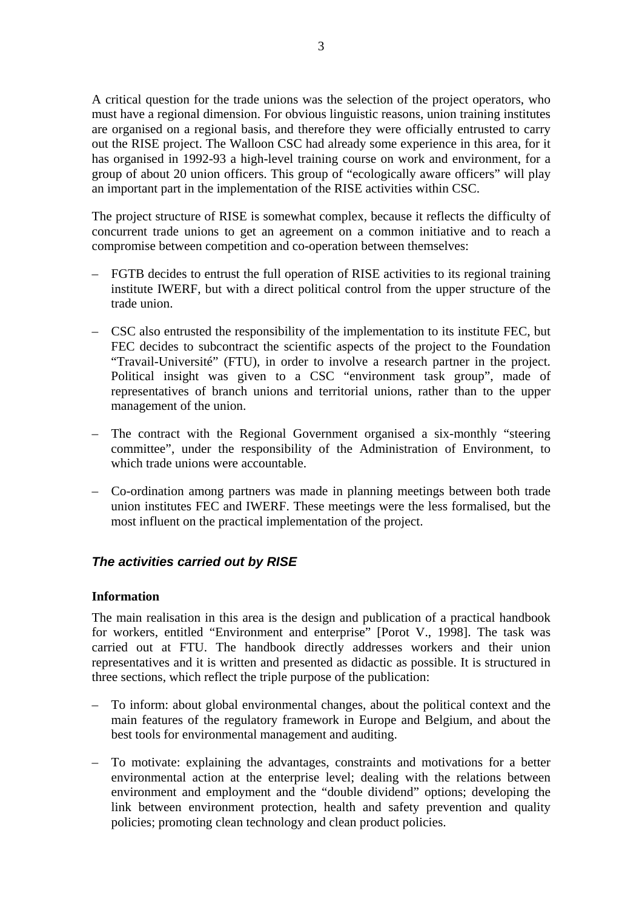A critical question for the trade unions was the selection of the project operators, who must have a regional dimension. For obvious linguistic reasons, union training institutes are organised on a regional basis, and therefore they were officially entrusted to carry out the RISE project. The Walloon CSC had already some experience in this area, for it has organised in 1992-93 a high-level training course on work and environment, for a group of about 20 union officers. This group of "ecologically aware officers" will play an important part in the implementation of the RISE activities within CSC.

The project structure of RISE is somewhat complex, because it reflects the difficulty of concurrent trade unions to get an agreement on a common initiative and to reach a compromise between competition and co-operation between themselves:

- FGTB decides to entrust the full operation of RISE activities to its regional training institute IWERF, but with a direct political control from the upper structure of the trade union.
- CSC also entrusted the responsibility of the implementation to its institute FEC, but FEC decides to subcontract the scientific aspects of the project to the Foundation "Travail-Université" (FTU), in order to involve a research partner in the project. Political insight was given to a CSC "environment task group", made of representatives of branch unions and territorial unions, rather than to the upper management of the union.
- The contract with the Regional Government organised a six-monthly "steering committee", under the responsibility of the Administration of Environment, to which trade unions were accountable.
- Co-ordination among partners was made in planning meetings between both trade union institutes FEC and IWERF. These meetings were the less formalised, but the most influent on the practical implementation of the project.

# *The activities carried out by RISE*

#### **Information**

The main realisation in this area is the design and publication of a practical handbook for workers, entitled "Environment and enterprise" [Porot V., 1998]. The task was carried out at FTU. The handbook directly addresses workers and their union representatives and it is written and presented as didactic as possible. It is structured in three sections, which reflect the triple purpose of the publication:

- To inform: about global environmental changes, about the political context and the main features of the regulatory framework in Europe and Belgium, and about the best tools for environmental management and auditing.
- To motivate: explaining the advantages, constraints and motivations for a better environmental action at the enterprise level; dealing with the relations between environment and employment and the "double dividend" options; developing the link between environment protection, health and safety prevention and quality policies; promoting clean technology and clean product policies.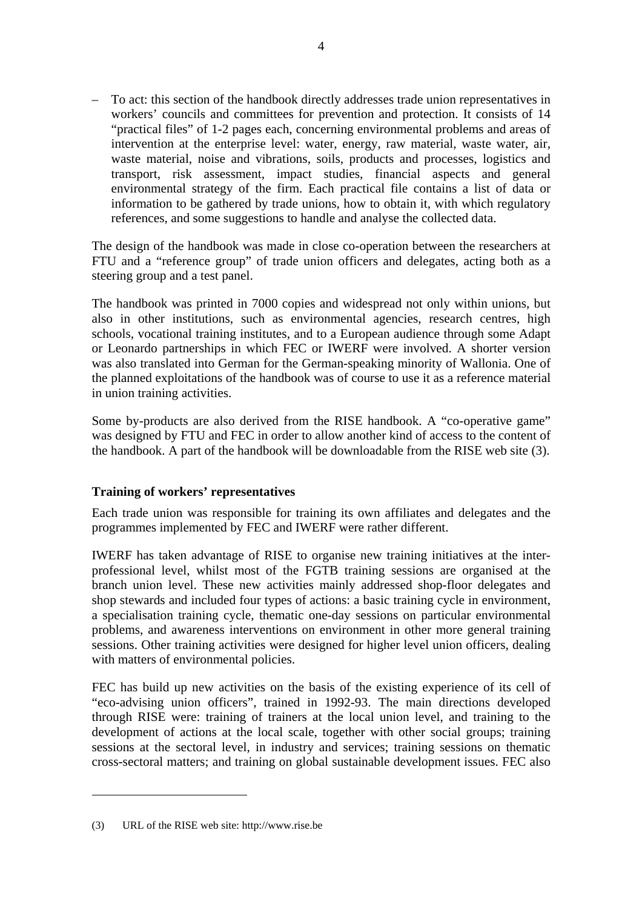– To act: this section of the handbook directly addresses trade union representatives in workers' councils and committees for prevention and protection. It consists of 14 "practical files" of 1-2 pages each, concerning environmental problems and areas of intervention at the enterprise level: water, energy, raw material, waste water, air, waste material, noise and vibrations, soils, products and processes, logistics and transport, risk assessment, impact studies, financial aspects and general environmental strategy of the firm. Each practical file contains a list of data or information to be gathered by trade unions, how to obtain it, with which regulatory references, and some suggestions to handle and analyse the collected data.

The design of the handbook was made in close co-operation between the researchers at FTU and a "reference group" of trade union officers and delegates, acting both as a steering group and a test panel.

The handbook was printed in 7000 copies and widespread not only within unions, but also in other institutions, such as environmental agencies, research centres, high schools, vocational training institutes, and to a European audience through some Adapt or Leonardo partnerships in which FEC or IWERF were involved. A shorter version was also translated into German for the German-speaking minority of Wallonia. One of the planned exploitations of the handbook was of course to use it as a reference material in union training activities.

Some by-products are also derived from the RISE handbook. A "co-operative game" was designed by FTU and FEC in order to allow another kind of access to the content of the handbook. A part of the handbook will be downloadable from the RISE web site (3).

#### **Training of workers' representatives**

Each trade union was responsible for training its own affiliates and delegates and the programmes implemented by FEC and IWERF were rather different.

IWERF has taken advantage of RISE to organise new training initiatives at the interprofessional level, whilst most of the FGTB training sessions are organised at the branch union level. These new activities mainly addressed shop-floor delegates and shop stewards and included four types of actions: a basic training cycle in environment, a specialisation training cycle, thematic one-day sessions on particular environmental problems, and awareness interventions on environment in other more general training sessions. Other training activities were designed for higher level union officers, dealing with matters of environmental policies.

FEC has build up new activities on the basis of the existing experience of its cell of "eco-advising union officers", trained in 1992-93. The main directions developed through RISE were: training of trainers at the local union level, and training to the development of actions at the local scale, together with other social groups; training sessions at the sectoral level, in industry and services; training sessions on thematic cross-sectoral matters; and training on global sustainable development issues. FEC also

 $\overline{a}$ 

<sup>(3)</sup> URL of the RISE web site: http://www.rise.be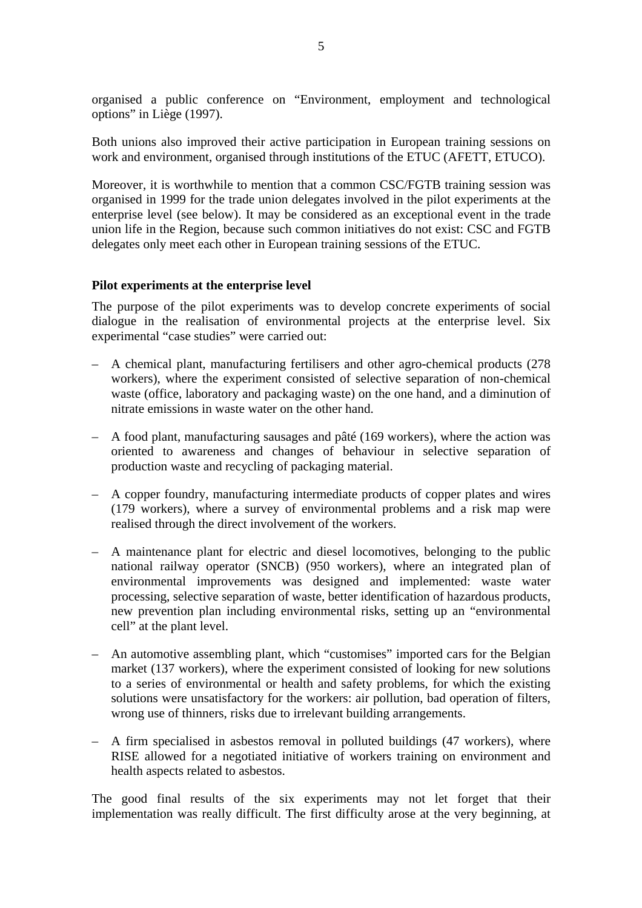organised a public conference on "Environment, employment and technological options" in Liège (1997).

Both unions also improved their active participation in European training sessions on work and environment, organised through institutions of the ETUC (AFETT, ETUCO).

Moreover, it is worthwhile to mention that a common CSC/FGTB training session was organised in 1999 for the trade union delegates involved in the pilot experiments at the enterprise level (see below). It may be considered as an exceptional event in the trade union life in the Region, because such common initiatives do not exist: CSC and FGTB delegates only meet each other in European training sessions of the ETUC.

#### **Pilot experiments at the enterprise level**

The purpose of the pilot experiments was to develop concrete experiments of social dialogue in the realisation of environmental projects at the enterprise level. Six experimental "case studies" were carried out:

- A chemical plant, manufacturing fertilisers and other agro-chemical products (278 workers), where the experiment consisted of selective separation of non-chemical waste (office, laboratory and packaging waste) on the one hand, and a diminution of nitrate emissions in waste water on the other hand.
- A food plant, manufacturing sausages and pâté (169 workers), where the action was oriented to awareness and changes of behaviour in selective separation of production waste and recycling of packaging material.
- A copper foundry, manufacturing intermediate products of copper plates and wires (179 workers), where a survey of environmental problems and a risk map were realised through the direct involvement of the workers.
- A maintenance plant for electric and diesel locomotives, belonging to the public national railway operator (SNCB) (950 workers), where an integrated plan of environmental improvements was designed and implemented: waste water processing, selective separation of waste, better identification of hazardous products, new prevention plan including environmental risks, setting up an "environmental cell" at the plant level.
- An automotive assembling plant, which "customises" imported cars for the Belgian market (137 workers), where the experiment consisted of looking for new solutions to a series of environmental or health and safety problems, for which the existing solutions were unsatisfactory for the workers: air pollution, bad operation of filters, wrong use of thinners, risks due to irrelevant building arrangements.
- A firm specialised in asbestos removal in polluted buildings (47 workers), where RISE allowed for a negotiated initiative of workers training on environment and health aspects related to asbestos.

The good final results of the six experiments may not let forget that their implementation was really difficult. The first difficulty arose at the very beginning, at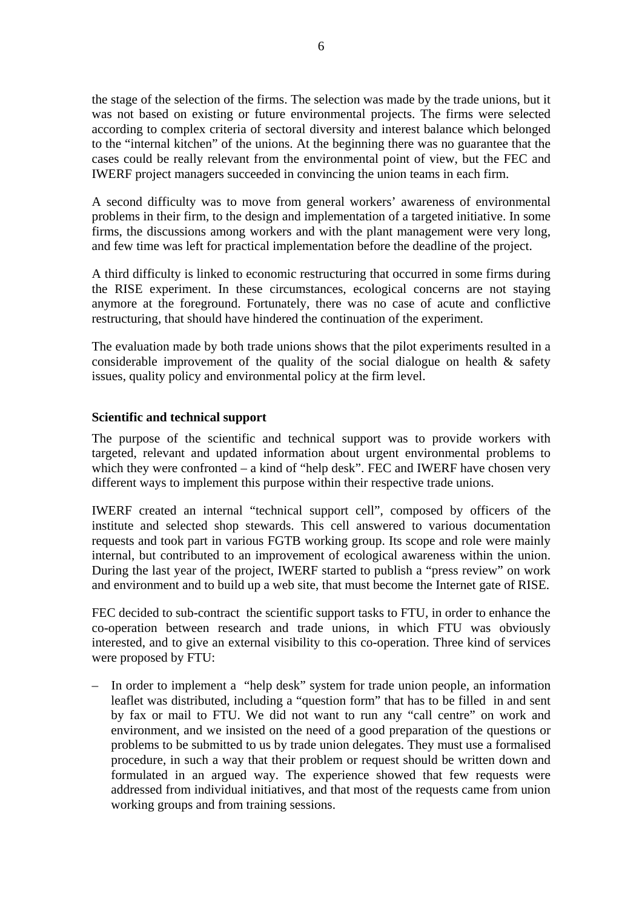the stage of the selection of the firms. The selection was made by the trade unions, but it was not based on existing or future environmental projects. The firms were selected according to complex criteria of sectoral diversity and interest balance which belonged to the "internal kitchen" of the unions. At the beginning there was no guarantee that the cases could be really relevant from the environmental point of view, but the FEC and IWERF project managers succeeded in convincing the union teams in each firm.

A second difficulty was to move from general workers' awareness of environmental problems in their firm, to the design and implementation of a targeted initiative. In some firms, the discussions among workers and with the plant management were very long, and few time was left for practical implementation before the deadline of the project.

A third difficulty is linked to economic restructuring that occurred in some firms during the RISE experiment. In these circumstances, ecological concerns are not staying anymore at the foreground. Fortunately, there was no case of acute and conflictive restructuring, that should have hindered the continuation of the experiment.

The evaluation made by both trade unions shows that the pilot experiments resulted in a considerable improvement of the quality of the social dialogue on health  $\&$  safety issues, quality policy and environmental policy at the firm level.

#### **Scientific and technical support**

The purpose of the scientific and technical support was to provide workers with targeted, relevant and updated information about urgent environmental problems to which they were confronted – a kind of "help desk". FEC and IWERF have chosen very different ways to implement this purpose within their respective trade unions.

IWERF created an internal "technical support cell", composed by officers of the institute and selected shop stewards. This cell answered to various documentation requests and took part in various FGTB working group. Its scope and role were mainly internal, but contributed to an improvement of ecological awareness within the union. During the last year of the project, IWERF started to publish a "press review" on work and environment and to build up a web site, that must become the Internet gate of RISE.

FEC decided to sub-contract the scientific support tasks to FTU, in order to enhance the co-operation between research and trade unions, in which FTU was obviously interested, and to give an external visibility to this co-operation. Three kind of services were proposed by FTU:

– In order to implement a "help desk" system for trade union people, an information leaflet was distributed, including a "question form" that has to be filled in and sent by fax or mail to FTU. We did not want to run any "call centre" on work and environment, and we insisted on the need of a good preparation of the questions or problems to be submitted to us by trade union delegates. They must use a formalised procedure, in such a way that their problem or request should be written down and formulated in an argued way. The experience showed that few requests were addressed from individual initiatives, and that most of the requests came from union working groups and from training sessions.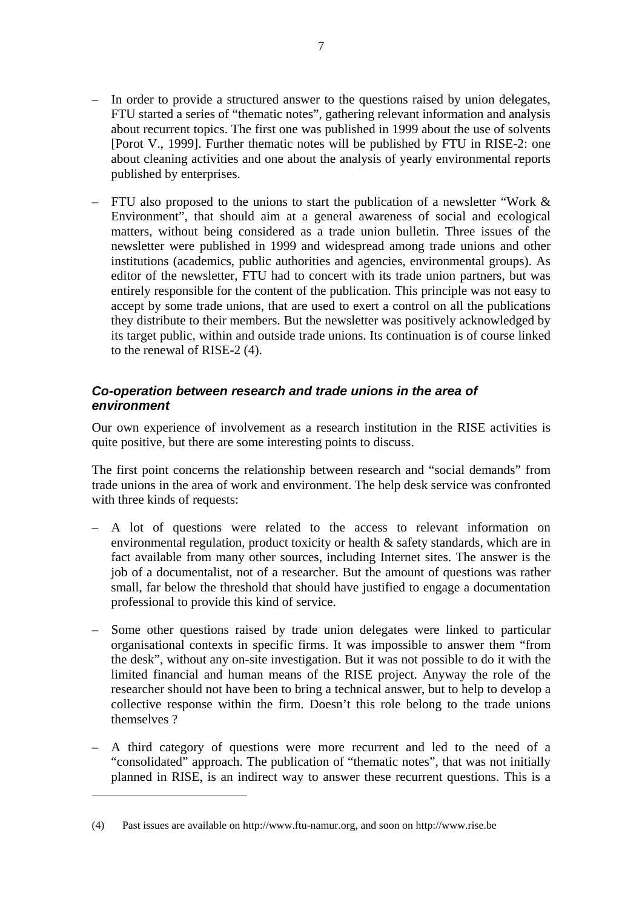- In order to provide a structured answer to the questions raised by union delegates, FTU started a series of "thematic notes", gathering relevant information and analysis about recurrent topics. The first one was published in 1999 about the use of solvents [Porot V., 1999]. Further thematic notes will be published by FTU in RISE-2: one about cleaning activities and one about the analysis of yearly environmental reports published by enterprises.
- FTU also proposed to the unions to start the publication of a newsletter "Work & Environment", that should aim at a general awareness of social and ecological matters, without being considered as a trade union bulletin. Three issues of the newsletter were published in 1999 and widespread among trade unions and other institutions (academics, public authorities and agencies, environmental groups). As editor of the newsletter, FTU had to concert with its trade union partners, but was entirely responsible for the content of the publication. This principle was not easy to accept by some trade unions, that are used to exert a control on all the publications they distribute to their members. But the newsletter was positively acknowledged by its target public, within and outside trade unions. Its continuation is of course linked to the renewal of RISE-2 (4).

## *Co-operation between research and trade unions in the area of environment*

Our own experience of involvement as a research institution in the RISE activities is quite positive, but there are some interesting points to discuss.

The first point concerns the relationship between research and "social demands" from trade unions in the area of work and environment. The help desk service was confronted with three kinds of requests:

- A lot of questions were related to the access to relevant information on environmental regulation, product toxicity or health & safety standards, which are in fact available from many other sources, including Internet sites. The answer is the job of a documentalist, not of a researcher. But the amount of questions was rather small, far below the threshold that should have justified to engage a documentation professional to provide this kind of service.
- Some other questions raised by trade union delegates were linked to particular organisational contexts in specific firms. It was impossible to answer them "from the desk", without any on-site investigation. But it was not possible to do it with the limited financial and human means of the RISE project. Anyway the role of the researcher should not have been to bring a technical answer, but to help to develop a collective response within the firm. Doesn't this role belong to the trade unions themselves ?
- A third category of questions were more recurrent and led to the need of a "consolidated" approach. The publication of "thematic notes", that was not initially planned in RISE, is an indirect way to answer these recurrent questions. This is a

 $\overline{a}$ 

<sup>(4)</sup> Past issues are available on http://www.ftu-namur.org, and soon on http://www.rise.be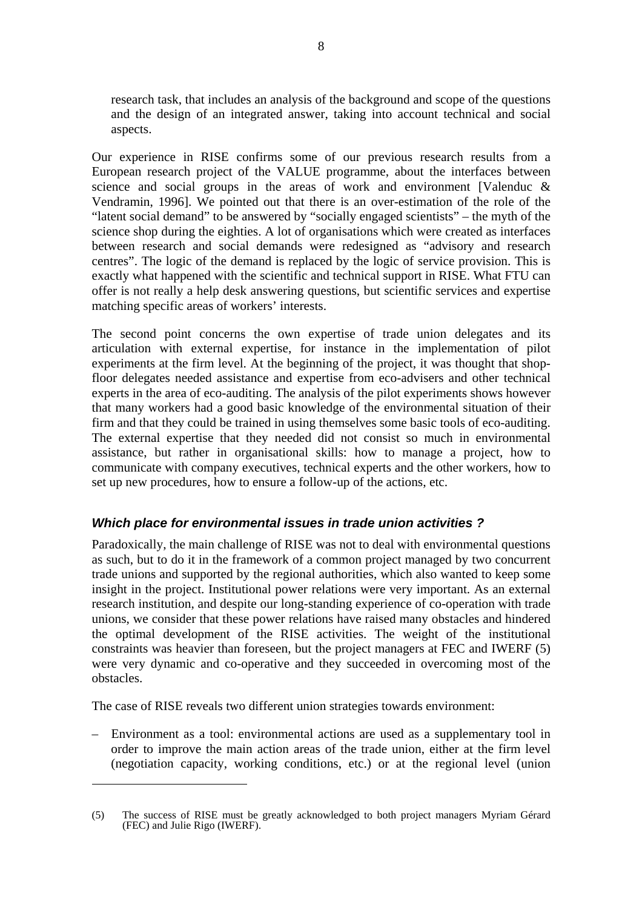research task, that includes an analysis of the background and scope of the questions and the design of an integrated answer, taking into account technical and social aspects.

Our experience in RISE confirms some of our previous research results from a European research project of the VALUE programme, about the interfaces between science and social groups in the areas of work and environment [Valenduc & Vendramin, 1996]. We pointed out that there is an over-estimation of the role of the "latent social demand" to be answered by "socially engaged scientists" – the myth of the science shop during the eighties. A lot of organisations which were created as interfaces between research and social demands were redesigned as "advisory and research centres". The logic of the demand is replaced by the logic of service provision. This is exactly what happened with the scientific and technical support in RISE. What FTU can offer is not really a help desk answering questions, but scientific services and expertise matching specific areas of workers' interests.

The second point concerns the own expertise of trade union delegates and its articulation with external expertise, for instance in the implementation of pilot experiments at the firm level. At the beginning of the project, it was thought that shopfloor delegates needed assistance and expertise from eco-advisers and other technical experts in the area of eco-auditing. The analysis of the pilot experiments shows however that many workers had a good basic knowledge of the environmental situation of their firm and that they could be trained in using themselves some basic tools of eco-auditing. The external expertise that they needed did not consist so much in environmental assistance, but rather in organisational skills: how to manage a project, how to communicate with company executives, technical experts and the other workers, how to set up new procedures, how to ensure a follow-up of the actions, etc.

## *Which place for environmental issues in trade union activities ?*

Paradoxically, the main challenge of RISE was not to deal with environmental questions as such, but to do it in the framework of a common project managed by two concurrent trade unions and supported by the regional authorities, which also wanted to keep some insight in the project. Institutional power relations were very important. As an external research institution, and despite our long-standing experience of co-operation with trade unions, we consider that these power relations have raised many obstacles and hindered the optimal development of the RISE activities. The weight of the institutional constraints was heavier than foreseen, but the project managers at FEC and IWERF (5) were very dynamic and co-operative and they succeeded in overcoming most of the obstacles.

The case of RISE reveals two different union strategies towards environment:

 $\overline{a}$ 

– Environment as a tool: environmental actions are used as a supplementary tool in order to improve the main action areas of the trade union, either at the firm level (negotiation capacity, working conditions, etc.) or at the regional level (union

<sup>(5)</sup> The success of RISE must be greatly acknowledged to both project managers Myriam Gérard (FEC) and Julie Rigo (IWERF).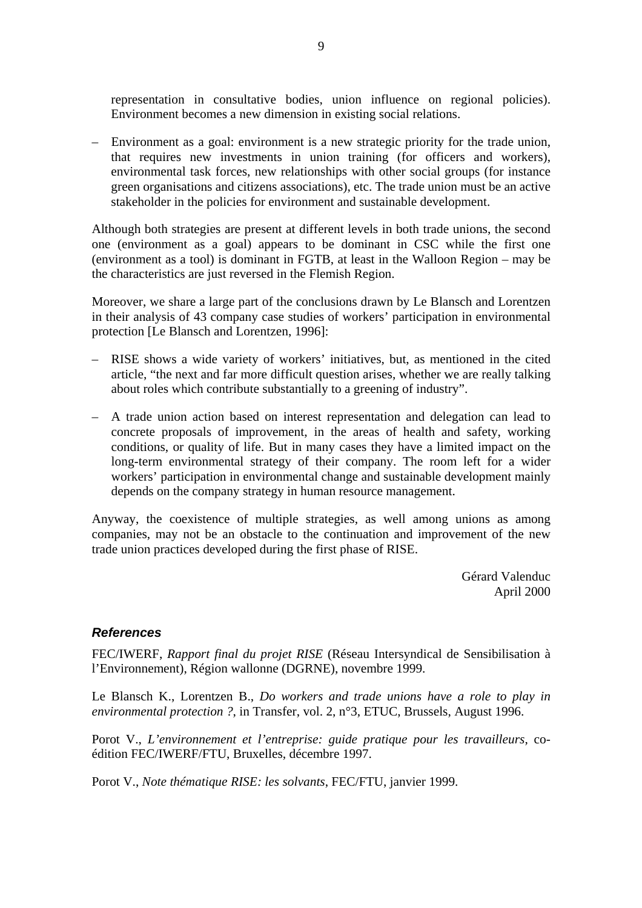representation in consultative bodies, union influence on regional policies). Environment becomes a new dimension in existing social relations.

– Environment as a goal: environment is a new strategic priority for the trade union, that requires new investments in union training (for officers and workers), environmental task forces, new relationships with other social groups (for instance green organisations and citizens associations), etc. The trade union must be an active stakeholder in the policies for environment and sustainable development.

Although both strategies are present at different levels in both trade unions, the second one (environment as a goal) appears to be dominant in CSC while the first one (environment as a tool) is dominant in FGTB, at least in the Walloon Region – may be the characteristics are just reversed in the Flemish Region.

Moreover, we share a large part of the conclusions drawn by Le Blansch and Lorentzen in their analysis of 43 company case studies of workers' participation in environmental protection [Le Blansch and Lorentzen, 1996]:

- RISE shows a wide variety of workers' initiatives, but, as mentioned in the cited article, "the next and far more difficult question arises, whether we are really talking about roles which contribute substantially to a greening of industry".
- A trade union action based on interest representation and delegation can lead to concrete proposals of improvement, in the areas of health and safety, working conditions, or quality of life. But in many cases they have a limited impact on the long-term environmental strategy of their company. The room left for a wider workers' participation in environmental change and sustainable development mainly depends on the company strategy in human resource management.

Anyway, the coexistence of multiple strategies, as well among unions as among companies, may not be an obstacle to the continuation and improvement of the new trade union practices developed during the first phase of RISE.

> Gérard Valenduc April 2000

#### *References*

FEC/IWERF, *Rapport final du projet RISE* (Réseau Intersyndical de Sensibilisation à l'Environnement), Région wallonne (DGRNE), novembre 1999.

Le Blansch K., Lorentzen B., *Do workers and trade unions have a role to play in environmental protection ?*, in Transfer, vol. 2, n°3, ETUC, Brussels, August 1996.

Porot V., *L'environnement et l'entreprise: guide pratique pour les travailleurs*, coédition FEC/IWERF/FTU, Bruxelles, décembre 1997.

Porot V., *Note thématique RISE: les solvants*, FEC/FTU, janvier 1999.